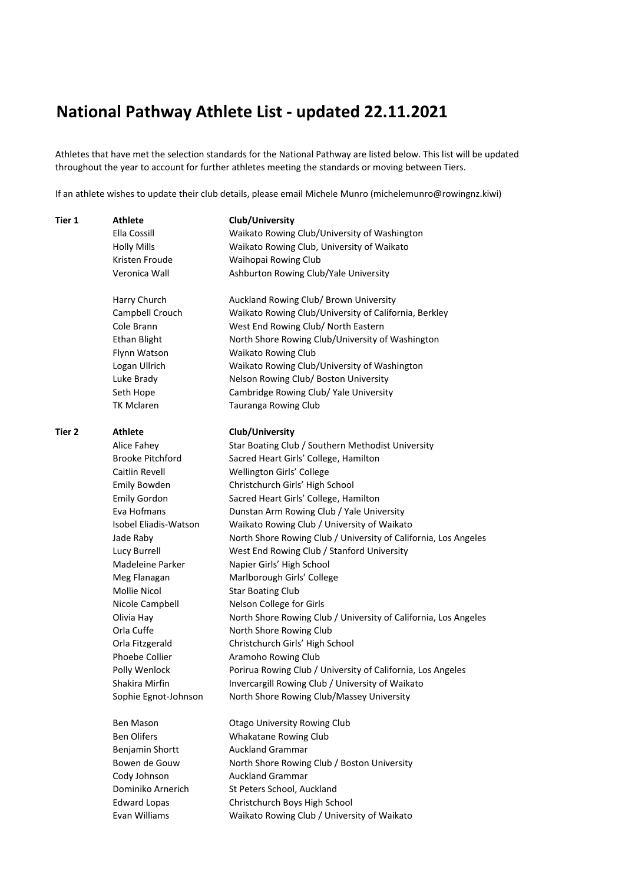## **National Pathway Athlete List - updated 22.11.2021**

Athletes that have met the selection standards for the National Pathway are listed below. This list will be updated throughout the year to account for further athletes meeting the standards or moving between Tiers.

If an athlete wishes to update their club details, please email Michele Munro (michelemunro@rowingnz.kiwi)

| Ella Cossill<br>Waikato Rowing Club/University of Washington<br>Waikato Rowing Club, University of Waikato<br><b>Holly Mills</b><br>Kristen Froude<br>Waihopai Rowing Club<br>Veronica Wall<br>Ashburton Rowing Club/Yale University<br>Auckland Rowing Club/ Brown University<br>Harry Church<br>Waikato Rowing Club/University of California, Berkley<br>Campbell Crouch<br>Cole Brann<br>West End Rowing Club/ North Eastern<br><b>Ethan Blight</b><br>North Shore Rowing Club/University of Washington<br><b>Waikato Rowing Club</b><br>Flynn Watson<br>Logan Ullrich<br>Waikato Rowing Club/University of Washington<br>Luke Brady<br>Nelson Rowing Club/ Boston University<br>Seth Hope<br>Cambridge Rowing Club/ Yale University<br><b>TK Mclaren</b><br>Tauranga Rowing Club<br><b>Athlete</b><br>Club/University<br>Alice Fahey<br>Star Boating Club / Southern Methodist University<br><b>Brooke Pitchford</b><br>Sacred Heart Girls' College, Hamilton<br>Caitlin Revell<br>Wellington Girls' College<br>Christchurch Girls' High School<br><b>Emily Bowden</b><br><b>Emily Gordon</b><br>Sacred Heart Girls' College, Hamilton<br>Eva Hofmans<br>Dunstan Arm Rowing Club / Yale University<br>Waikato Rowing Club / University of Waikato<br>Isobel Eliadis-Watson<br>Jade Raby<br>North Shore Rowing Club / University of California, Los Angeles<br>West End Rowing Club / Stanford University<br>Lucy Burrell<br>Madeleine Parker<br>Napier Girls' High School<br>Marlborough Girls' College<br>Meg Flanagan<br>Mollie Nicol<br><b>Star Boating Club</b><br>Nicole Campbell<br>Nelson College for Girls<br>Olivia Hay<br>North Shore Rowing Club / University of California, Los Angeles<br>Orla Cuffe<br>North Shore Rowing Club<br>Christchurch Girls' High School<br>Orla Fitzgerald<br>Phoebe Collier<br>Aramoho Rowing Club<br>Polly Wenlock<br>Porirua Rowing Club / University of California, Los Angeles<br>Shakira Mirfin<br>Invercargill Rowing Club / University of Waikato<br>Sophie Egnot-Johnson<br>North Shore Rowing Club/Massey University<br><b>Ben Mason</b><br><b>Otago University Rowing Club</b><br><b>Ben Olifers</b><br>Whakatane Rowing Club<br><b>Auckland Grammar</b><br>Benjamin Shortt<br>Bowen de Gouw<br>North Shore Rowing Club / Boston University | Tier 1 | <b>Athlete</b> | Club/University                             |
|----------------------------------------------------------------------------------------------------------------------------------------------------------------------------------------------------------------------------------------------------------------------------------------------------------------------------------------------------------------------------------------------------------------------------------------------------------------------------------------------------------------------------------------------------------------------------------------------------------------------------------------------------------------------------------------------------------------------------------------------------------------------------------------------------------------------------------------------------------------------------------------------------------------------------------------------------------------------------------------------------------------------------------------------------------------------------------------------------------------------------------------------------------------------------------------------------------------------------------------------------------------------------------------------------------------------------------------------------------------------------------------------------------------------------------------------------------------------------------------------------------------------------------------------------------------------------------------------------------------------------------------------------------------------------------------------------------------------------------------------------------------------------------------------------------------------------------------------------------------------------------------------------------------------------------------------------------------------------------------------------------------------------------------------------------------------------------------------------------------------------------------------------------------------------------------------------------------------------------------------------------------------------------------------------|--------|----------------|---------------------------------------------|
|                                                                                                                                                                                                                                                                                                                                                                                                                                                                                                                                                                                                                                                                                                                                                                                                                                                                                                                                                                                                                                                                                                                                                                                                                                                                                                                                                                                                                                                                                                                                                                                                                                                                                                                                                                                                                                                                                                                                                                                                                                                                                                                                                                                                                                                                                                    |        |                |                                             |
|                                                                                                                                                                                                                                                                                                                                                                                                                                                                                                                                                                                                                                                                                                                                                                                                                                                                                                                                                                                                                                                                                                                                                                                                                                                                                                                                                                                                                                                                                                                                                                                                                                                                                                                                                                                                                                                                                                                                                                                                                                                                                                                                                                                                                                                                                                    |        |                |                                             |
|                                                                                                                                                                                                                                                                                                                                                                                                                                                                                                                                                                                                                                                                                                                                                                                                                                                                                                                                                                                                                                                                                                                                                                                                                                                                                                                                                                                                                                                                                                                                                                                                                                                                                                                                                                                                                                                                                                                                                                                                                                                                                                                                                                                                                                                                                                    |        |                |                                             |
|                                                                                                                                                                                                                                                                                                                                                                                                                                                                                                                                                                                                                                                                                                                                                                                                                                                                                                                                                                                                                                                                                                                                                                                                                                                                                                                                                                                                                                                                                                                                                                                                                                                                                                                                                                                                                                                                                                                                                                                                                                                                                                                                                                                                                                                                                                    |        |                |                                             |
|                                                                                                                                                                                                                                                                                                                                                                                                                                                                                                                                                                                                                                                                                                                                                                                                                                                                                                                                                                                                                                                                                                                                                                                                                                                                                                                                                                                                                                                                                                                                                                                                                                                                                                                                                                                                                                                                                                                                                                                                                                                                                                                                                                                                                                                                                                    |        |                |                                             |
|                                                                                                                                                                                                                                                                                                                                                                                                                                                                                                                                                                                                                                                                                                                                                                                                                                                                                                                                                                                                                                                                                                                                                                                                                                                                                                                                                                                                                                                                                                                                                                                                                                                                                                                                                                                                                                                                                                                                                                                                                                                                                                                                                                                                                                                                                                    |        |                |                                             |
|                                                                                                                                                                                                                                                                                                                                                                                                                                                                                                                                                                                                                                                                                                                                                                                                                                                                                                                                                                                                                                                                                                                                                                                                                                                                                                                                                                                                                                                                                                                                                                                                                                                                                                                                                                                                                                                                                                                                                                                                                                                                                                                                                                                                                                                                                                    |        |                |                                             |
|                                                                                                                                                                                                                                                                                                                                                                                                                                                                                                                                                                                                                                                                                                                                                                                                                                                                                                                                                                                                                                                                                                                                                                                                                                                                                                                                                                                                                                                                                                                                                                                                                                                                                                                                                                                                                                                                                                                                                                                                                                                                                                                                                                                                                                                                                                    |        |                |                                             |
|                                                                                                                                                                                                                                                                                                                                                                                                                                                                                                                                                                                                                                                                                                                                                                                                                                                                                                                                                                                                                                                                                                                                                                                                                                                                                                                                                                                                                                                                                                                                                                                                                                                                                                                                                                                                                                                                                                                                                                                                                                                                                                                                                                                                                                                                                                    |        |                |                                             |
|                                                                                                                                                                                                                                                                                                                                                                                                                                                                                                                                                                                                                                                                                                                                                                                                                                                                                                                                                                                                                                                                                                                                                                                                                                                                                                                                                                                                                                                                                                                                                                                                                                                                                                                                                                                                                                                                                                                                                                                                                                                                                                                                                                                                                                                                                                    |        |                |                                             |
|                                                                                                                                                                                                                                                                                                                                                                                                                                                                                                                                                                                                                                                                                                                                                                                                                                                                                                                                                                                                                                                                                                                                                                                                                                                                                                                                                                                                                                                                                                                                                                                                                                                                                                                                                                                                                                                                                                                                                                                                                                                                                                                                                                                                                                                                                                    |        |                |                                             |
|                                                                                                                                                                                                                                                                                                                                                                                                                                                                                                                                                                                                                                                                                                                                                                                                                                                                                                                                                                                                                                                                                                                                                                                                                                                                                                                                                                                                                                                                                                                                                                                                                                                                                                                                                                                                                                                                                                                                                                                                                                                                                                                                                                                                                                                                                                    |        |                |                                             |
|                                                                                                                                                                                                                                                                                                                                                                                                                                                                                                                                                                                                                                                                                                                                                                                                                                                                                                                                                                                                                                                                                                                                                                                                                                                                                                                                                                                                                                                                                                                                                                                                                                                                                                                                                                                                                                                                                                                                                                                                                                                                                                                                                                                                                                                                                                    |        |                |                                             |
|                                                                                                                                                                                                                                                                                                                                                                                                                                                                                                                                                                                                                                                                                                                                                                                                                                                                                                                                                                                                                                                                                                                                                                                                                                                                                                                                                                                                                                                                                                                                                                                                                                                                                                                                                                                                                                                                                                                                                                                                                                                                                                                                                                                                                                                                                                    | Tier 2 |                |                                             |
|                                                                                                                                                                                                                                                                                                                                                                                                                                                                                                                                                                                                                                                                                                                                                                                                                                                                                                                                                                                                                                                                                                                                                                                                                                                                                                                                                                                                                                                                                                                                                                                                                                                                                                                                                                                                                                                                                                                                                                                                                                                                                                                                                                                                                                                                                                    |        |                |                                             |
|                                                                                                                                                                                                                                                                                                                                                                                                                                                                                                                                                                                                                                                                                                                                                                                                                                                                                                                                                                                                                                                                                                                                                                                                                                                                                                                                                                                                                                                                                                                                                                                                                                                                                                                                                                                                                                                                                                                                                                                                                                                                                                                                                                                                                                                                                                    |        |                |                                             |
|                                                                                                                                                                                                                                                                                                                                                                                                                                                                                                                                                                                                                                                                                                                                                                                                                                                                                                                                                                                                                                                                                                                                                                                                                                                                                                                                                                                                                                                                                                                                                                                                                                                                                                                                                                                                                                                                                                                                                                                                                                                                                                                                                                                                                                                                                                    |        |                |                                             |
|                                                                                                                                                                                                                                                                                                                                                                                                                                                                                                                                                                                                                                                                                                                                                                                                                                                                                                                                                                                                                                                                                                                                                                                                                                                                                                                                                                                                                                                                                                                                                                                                                                                                                                                                                                                                                                                                                                                                                                                                                                                                                                                                                                                                                                                                                                    |        |                |                                             |
|                                                                                                                                                                                                                                                                                                                                                                                                                                                                                                                                                                                                                                                                                                                                                                                                                                                                                                                                                                                                                                                                                                                                                                                                                                                                                                                                                                                                                                                                                                                                                                                                                                                                                                                                                                                                                                                                                                                                                                                                                                                                                                                                                                                                                                                                                                    |        |                |                                             |
|                                                                                                                                                                                                                                                                                                                                                                                                                                                                                                                                                                                                                                                                                                                                                                                                                                                                                                                                                                                                                                                                                                                                                                                                                                                                                                                                                                                                                                                                                                                                                                                                                                                                                                                                                                                                                                                                                                                                                                                                                                                                                                                                                                                                                                                                                                    |        |                |                                             |
|                                                                                                                                                                                                                                                                                                                                                                                                                                                                                                                                                                                                                                                                                                                                                                                                                                                                                                                                                                                                                                                                                                                                                                                                                                                                                                                                                                                                                                                                                                                                                                                                                                                                                                                                                                                                                                                                                                                                                                                                                                                                                                                                                                                                                                                                                                    |        |                |                                             |
|                                                                                                                                                                                                                                                                                                                                                                                                                                                                                                                                                                                                                                                                                                                                                                                                                                                                                                                                                                                                                                                                                                                                                                                                                                                                                                                                                                                                                                                                                                                                                                                                                                                                                                                                                                                                                                                                                                                                                                                                                                                                                                                                                                                                                                                                                                    |        |                |                                             |
|                                                                                                                                                                                                                                                                                                                                                                                                                                                                                                                                                                                                                                                                                                                                                                                                                                                                                                                                                                                                                                                                                                                                                                                                                                                                                                                                                                                                                                                                                                                                                                                                                                                                                                                                                                                                                                                                                                                                                                                                                                                                                                                                                                                                                                                                                                    |        |                |                                             |
|                                                                                                                                                                                                                                                                                                                                                                                                                                                                                                                                                                                                                                                                                                                                                                                                                                                                                                                                                                                                                                                                                                                                                                                                                                                                                                                                                                                                                                                                                                                                                                                                                                                                                                                                                                                                                                                                                                                                                                                                                                                                                                                                                                                                                                                                                                    |        |                |                                             |
|                                                                                                                                                                                                                                                                                                                                                                                                                                                                                                                                                                                                                                                                                                                                                                                                                                                                                                                                                                                                                                                                                                                                                                                                                                                                                                                                                                                                                                                                                                                                                                                                                                                                                                                                                                                                                                                                                                                                                                                                                                                                                                                                                                                                                                                                                                    |        |                |                                             |
|                                                                                                                                                                                                                                                                                                                                                                                                                                                                                                                                                                                                                                                                                                                                                                                                                                                                                                                                                                                                                                                                                                                                                                                                                                                                                                                                                                                                                                                                                                                                                                                                                                                                                                                                                                                                                                                                                                                                                                                                                                                                                                                                                                                                                                                                                                    |        |                |                                             |
|                                                                                                                                                                                                                                                                                                                                                                                                                                                                                                                                                                                                                                                                                                                                                                                                                                                                                                                                                                                                                                                                                                                                                                                                                                                                                                                                                                                                                                                                                                                                                                                                                                                                                                                                                                                                                                                                                                                                                                                                                                                                                                                                                                                                                                                                                                    |        |                |                                             |
|                                                                                                                                                                                                                                                                                                                                                                                                                                                                                                                                                                                                                                                                                                                                                                                                                                                                                                                                                                                                                                                                                                                                                                                                                                                                                                                                                                                                                                                                                                                                                                                                                                                                                                                                                                                                                                                                                                                                                                                                                                                                                                                                                                                                                                                                                                    |        |                |                                             |
|                                                                                                                                                                                                                                                                                                                                                                                                                                                                                                                                                                                                                                                                                                                                                                                                                                                                                                                                                                                                                                                                                                                                                                                                                                                                                                                                                                                                                                                                                                                                                                                                                                                                                                                                                                                                                                                                                                                                                                                                                                                                                                                                                                                                                                                                                                    |        |                |                                             |
|                                                                                                                                                                                                                                                                                                                                                                                                                                                                                                                                                                                                                                                                                                                                                                                                                                                                                                                                                                                                                                                                                                                                                                                                                                                                                                                                                                                                                                                                                                                                                                                                                                                                                                                                                                                                                                                                                                                                                                                                                                                                                                                                                                                                                                                                                                    |        |                |                                             |
|                                                                                                                                                                                                                                                                                                                                                                                                                                                                                                                                                                                                                                                                                                                                                                                                                                                                                                                                                                                                                                                                                                                                                                                                                                                                                                                                                                                                                                                                                                                                                                                                                                                                                                                                                                                                                                                                                                                                                                                                                                                                                                                                                                                                                                                                                                    |        |                |                                             |
|                                                                                                                                                                                                                                                                                                                                                                                                                                                                                                                                                                                                                                                                                                                                                                                                                                                                                                                                                                                                                                                                                                                                                                                                                                                                                                                                                                                                                                                                                                                                                                                                                                                                                                                                                                                                                                                                                                                                                                                                                                                                                                                                                                                                                                                                                                    |        |                |                                             |
|                                                                                                                                                                                                                                                                                                                                                                                                                                                                                                                                                                                                                                                                                                                                                                                                                                                                                                                                                                                                                                                                                                                                                                                                                                                                                                                                                                                                                                                                                                                                                                                                                                                                                                                                                                                                                                                                                                                                                                                                                                                                                                                                                                                                                                                                                                    |        |                |                                             |
|                                                                                                                                                                                                                                                                                                                                                                                                                                                                                                                                                                                                                                                                                                                                                                                                                                                                                                                                                                                                                                                                                                                                                                                                                                                                                                                                                                                                                                                                                                                                                                                                                                                                                                                                                                                                                                                                                                                                                                                                                                                                                                                                                                                                                                                                                                    |        |                |                                             |
|                                                                                                                                                                                                                                                                                                                                                                                                                                                                                                                                                                                                                                                                                                                                                                                                                                                                                                                                                                                                                                                                                                                                                                                                                                                                                                                                                                                                                                                                                                                                                                                                                                                                                                                                                                                                                                                                                                                                                                                                                                                                                                                                                                                                                                                                                                    |        |                |                                             |
|                                                                                                                                                                                                                                                                                                                                                                                                                                                                                                                                                                                                                                                                                                                                                                                                                                                                                                                                                                                                                                                                                                                                                                                                                                                                                                                                                                                                                                                                                                                                                                                                                                                                                                                                                                                                                                                                                                                                                                                                                                                                                                                                                                                                                                                                                                    |        |                |                                             |
|                                                                                                                                                                                                                                                                                                                                                                                                                                                                                                                                                                                                                                                                                                                                                                                                                                                                                                                                                                                                                                                                                                                                                                                                                                                                                                                                                                                                                                                                                                                                                                                                                                                                                                                                                                                                                                                                                                                                                                                                                                                                                                                                                                                                                                                                                                    |        |                |                                             |
|                                                                                                                                                                                                                                                                                                                                                                                                                                                                                                                                                                                                                                                                                                                                                                                                                                                                                                                                                                                                                                                                                                                                                                                                                                                                                                                                                                                                                                                                                                                                                                                                                                                                                                                                                                                                                                                                                                                                                                                                                                                                                                                                                                                                                                                                                                    |        |                |                                             |
|                                                                                                                                                                                                                                                                                                                                                                                                                                                                                                                                                                                                                                                                                                                                                                                                                                                                                                                                                                                                                                                                                                                                                                                                                                                                                                                                                                                                                                                                                                                                                                                                                                                                                                                                                                                                                                                                                                                                                                                                                                                                                                                                                                                                                                                                                                    |        | Cody Johnson   | <b>Auckland Grammar</b>                     |
| Dominiko Arnerich<br>St Peters School, Auckland                                                                                                                                                                                                                                                                                                                                                                                                                                                                                                                                                                                                                                                                                                                                                                                                                                                                                                                                                                                                                                                                                                                                                                                                                                                                                                                                                                                                                                                                                                                                                                                                                                                                                                                                                                                                                                                                                                                                                                                                                                                                                                                                                                                                                                                    |        |                |                                             |
| <b>Edward Lopas</b><br>Christchurch Boys High School                                                                                                                                                                                                                                                                                                                                                                                                                                                                                                                                                                                                                                                                                                                                                                                                                                                                                                                                                                                                                                                                                                                                                                                                                                                                                                                                                                                                                                                                                                                                                                                                                                                                                                                                                                                                                                                                                                                                                                                                                                                                                                                                                                                                                                               |        |                |                                             |
|                                                                                                                                                                                                                                                                                                                                                                                                                                                                                                                                                                                                                                                                                                                                                                                                                                                                                                                                                                                                                                                                                                                                                                                                                                                                                                                                                                                                                                                                                                                                                                                                                                                                                                                                                                                                                                                                                                                                                                                                                                                                                                                                                                                                                                                                                                    |        | Evan Williams  | Waikato Rowing Club / University of Waikato |
|                                                                                                                                                                                                                                                                                                                                                                                                                                                                                                                                                                                                                                                                                                                                                                                                                                                                                                                                                                                                                                                                                                                                                                                                                                                                                                                                                                                                                                                                                                                                                                                                                                                                                                                                                                                                                                                                                                                                                                                                                                                                                                                                                                                                                                                                                                    |        |                |                                             |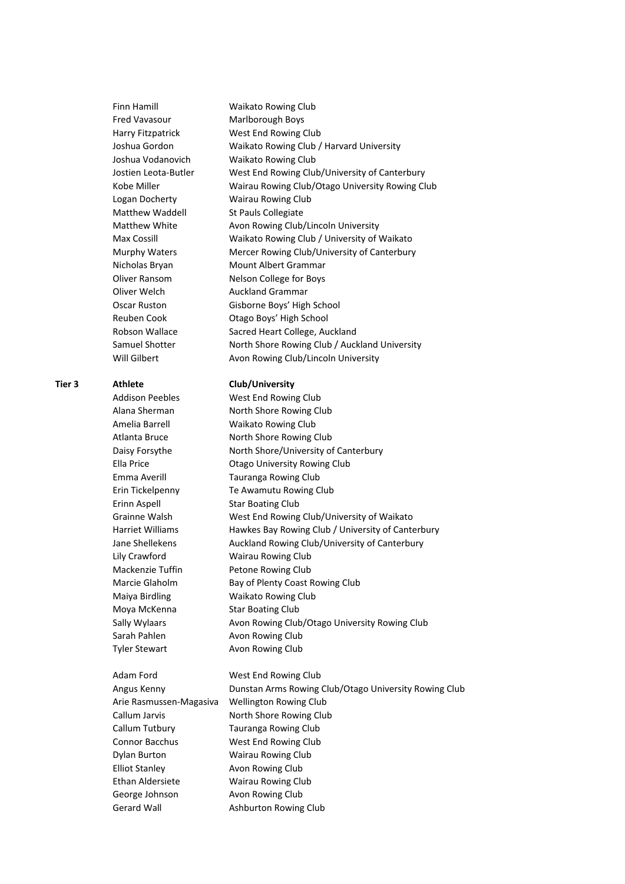|        | <b>Finn Hamill</b>      | <b>Waikato Rowing Club</b>                            |
|--------|-------------------------|-------------------------------------------------------|
|        | <b>Fred Vavasour</b>    | Marlborough Boys                                      |
|        | Harry Fitzpatrick       | West End Rowing Club                                  |
|        | Joshua Gordon           | Waikato Rowing Club / Harvard University              |
|        | Joshua Vodanovich       | <b>Waikato Rowing Club</b>                            |
|        | Jostien Leota-Butler    | West End Rowing Club/University of Canterbury         |
|        | Kobe Miller             | Wairau Rowing Club/Otago University Rowing Club       |
|        | Logan Docherty          | Wairau Rowing Club                                    |
|        | Matthew Waddell         | St Pauls Collegiate                                   |
|        | Matthew White           | Avon Rowing Club/Lincoln University                   |
|        | Max Cossill             | Waikato Rowing Club / University of Waikato           |
|        | <b>Murphy Waters</b>    | Mercer Rowing Club/University of Canterbury           |
|        | Nicholas Bryan          | <b>Mount Albert Grammar</b>                           |
|        | Oliver Ransom           | Nelson College for Boys                               |
|        | Oliver Welch            | <b>Auckland Grammar</b>                               |
|        | Oscar Ruston            | Gisborne Boys' High School                            |
|        | Reuben Cook             | Otago Boys' High School                               |
|        | Robson Wallace          | Sacred Heart College, Auckland                        |
|        | Samuel Shotter          | North Shore Rowing Club / Auckland University         |
|        | Will Gilbert            | Avon Rowing Club/Lincoln University                   |
| Tier 3 | Athlete                 | Club/University                                       |
|        | <b>Addison Peebles</b>  | West End Rowing Club                                  |
|        | Alana Sherman           | North Shore Rowing Club                               |
|        | Amelia Barrell          | <b>Waikato Rowing Club</b>                            |
|        | Atlanta Bruce           | North Shore Rowing Club                               |
|        | Daisy Forsythe          | North Shore/University of Canterbury                  |
|        | Ella Price              | <b>Otago University Rowing Club</b>                   |
|        | Emma Averill            | Tauranga Rowing Club                                  |
|        | Erin Tickelpenny        | Te Awamutu Rowing Club                                |
|        | Erinn Aspell            | <b>Star Boating Club</b>                              |
|        | Grainne Walsh           | West End Rowing Club/University of Waikato            |
|        | <b>Harriet Williams</b> | Hawkes Bay Rowing Club / University of Canterbury     |
|        | Jane Shellekens         | Auckland Rowing Club/University of Canterbury         |
|        | Lily Crawford           | Wairau Rowing Club                                    |
|        | Mackenzie Tuffin        | Petone Rowing Club                                    |
|        | Marcie Glaholm          | Bay of Plenty Coast Rowing Club                       |
|        | Maiya Birdling          | <b>Waikato Rowing Club</b>                            |
|        | Moya McKenna            | <b>Star Boating Club</b>                              |
|        | Sally Wylaars           | Avon Rowing Club/Otago University Rowing Club         |
|        | Sarah Pahlen            | Avon Rowing Club                                      |
|        | <b>Tyler Stewart</b>    | Avon Rowing Club                                      |
|        | Adam Ford               | West End Rowing Club                                  |
|        | Angus Kenny             | Dunstan Arms Rowing Club/Otago University Rowing Club |
|        | Arie Rasmussen-Magasiva | Wellington Rowing Club                                |
|        | Callum Jarvis           | North Shore Rowing Club                               |
|        | Callum Tutbury          | Tauranga Rowing Club                                  |
|        | Connor Bacchus          | West End Rowing Club                                  |
|        | Dylan Burton            | <b>Wairau Rowing Club</b>                             |
|        | <b>Elliot Stanley</b>   | Avon Rowing Club                                      |
|        | Ethan Aldersiete        | Wairau Rowing Club                                    |
|        | George Johnson          | Avon Rowing Club                                      |
|        | <b>Gerard Wall</b>      | Ashburton Rowing Club                                 |
|        |                         |                                                       |